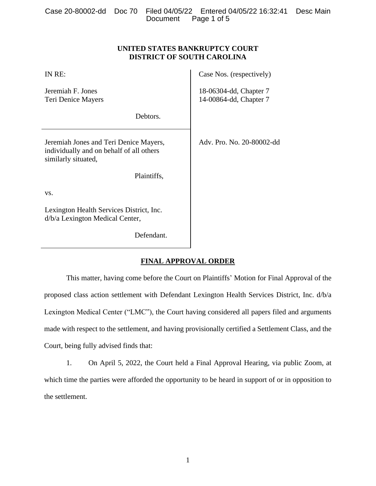## **UNITED STATES BANKRUPTCY COURT DISTRICT OF SOUTH CAROLINA**

| IN RE:                                                                                                    | Case Nos. (respectively)                         |
|-----------------------------------------------------------------------------------------------------------|--------------------------------------------------|
| Jeremiah F. Jones<br>Teri Denice Mayers                                                                   | 18-06304-dd, Chapter 7<br>14-00864-dd, Chapter 7 |
| Debtors.                                                                                                  |                                                  |
| Jeremiah Jones and Teri Denice Mayers,<br>individually and on behalf of all others<br>similarly situated, | Adv. Pro. No. 20-80002-dd                        |
| Plaintiffs,                                                                                               |                                                  |
| VS.                                                                                                       |                                                  |
| Lexington Health Services District, Inc.<br>d/b/a Lexington Medical Center,                               |                                                  |
| Defendant.                                                                                                |                                                  |

# **FINAL APPROVAL ORDER**

This matter, having come before the Court on Plaintiffs' Motion for Final Approval of the proposed class action settlement with Defendant Lexington Health Services District, Inc. d/b/a Lexington Medical Center ("LMC"), the Court having considered all papers filed and arguments made with respect to the settlement, and having provisionally certified a Settlement Class, and the Court, being fully advised finds that:

1. On April 5, 2022, the Court held a Final Approval Hearing, via public Zoom, at which time the parties were afforded the opportunity to be heard in support of or in opposition to the settlement.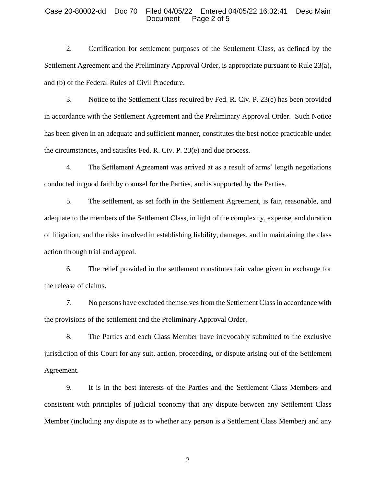#### Case 20-80002-dd Doc 70 Filed 04/05/22 Entered 04/05/22 16:32:41 Desc Main Document Page 2 of 5

2. Certification for settlement purposes of the Settlement Class, as defined by the Settlement Agreement and the Preliminary Approval Order, is appropriate pursuant to Rule 23(a), and (b) of the Federal Rules of Civil Procedure.

3. Notice to the Settlement Class required by Fed. R. Civ. P. 23(e) has been provided in accordance with the Settlement Agreement and the Preliminary Approval Order. Such Notice has been given in an adequate and sufficient manner, constitutes the best notice practicable under the circumstances, and satisfies Fed. R. Civ. P. 23(e) and due process.

4. The Settlement Agreement was arrived at as a result of arms' length negotiations conducted in good faith by counsel for the Parties, and is supported by the Parties.

5. The settlement, as set forth in the Settlement Agreement, is fair, reasonable, and adequate to the members of the Settlement Class, in light of the complexity, expense, and duration of litigation, and the risks involved in establishing liability, damages, and in maintaining the class action through trial and appeal.

6. The relief provided in the settlement constitutes fair value given in exchange for the release of claims.

7. No persons have excluded themselves from the Settlement Class in accordance with the provisions of the settlement and the Preliminary Approval Order.

8. The Parties and each Class Member have irrevocably submitted to the exclusive jurisdiction of this Court for any suit, action, proceeding, or dispute arising out of the Settlement Agreement.

9. It is in the best interests of the Parties and the Settlement Class Members and consistent with principles of judicial economy that any dispute between any Settlement Class Member (including any dispute as to whether any person is a Settlement Class Member) and any

2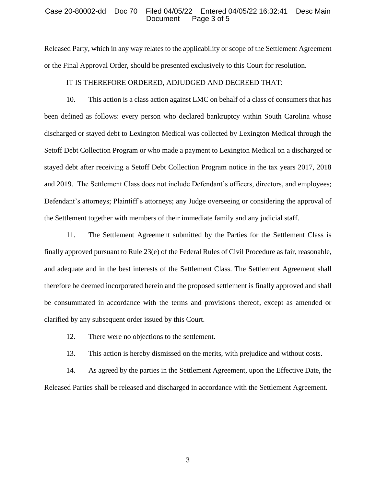#### Case 20-80002-dd Doc 70 Filed 04/05/22 Entered 04/05/22 16:32:41 Desc Main Document Page 3 of 5

Released Party, which in any way relates to the applicability or scope of the Settlement Agreement or the Final Approval Order, should be presented exclusively to this Court for resolution.

## IT IS THEREFORE ORDERED, ADJUDGED AND DECREED THAT:

10. This action is a class action against LMC on behalf of a class of consumers that has been defined as follows: every person who declared bankruptcy within South Carolina whose discharged or stayed debt to Lexington Medical was collected by Lexington Medical through the Setoff Debt Collection Program or who made a payment to Lexington Medical on a discharged or stayed debt after receiving a Setoff Debt Collection Program notice in the tax years 2017, 2018 and 2019. The Settlement Class does not include Defendant's officers, directors, and employees; Defendant's attorneys; Plaintiff's attorneys; any Judge overseeing or considering the approval of the Settlement together with members of their immediate family and any judicial staff.

11. The Settlement Agreement submitted by the Parties for the Settlement Class is finally approved pursuant to Rule 23(e) of the Federal Rules of Civil Procedure as fair, reasonable, and adequate and in the best interests of the Settlement Class. The Settlement Agreement shall therefore be deemed incorporated herein and the proposed settlement is finally approved and shall be consummated in accordance with the terms and provisions thereof, except as amended or clarified by any subsequent order issued by this Court.

- 12. There were no objections to the settlement.
- 13. This action is hereby dismissed on the merits, with prejudice and without costs.

14. As agreed by the parties in the Settlement Agreement, upon the Effective Date, the Released Parties shall be released and discharged in accordance with the Settlement Agreement.

3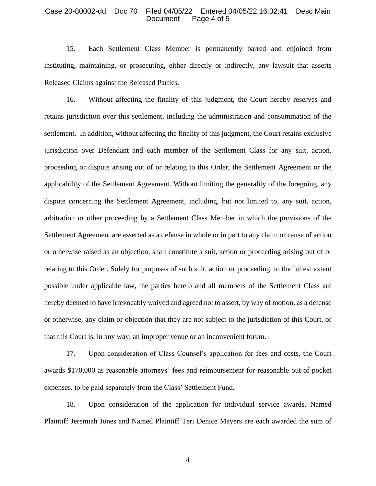#### Case 20-80002-dd Doc 70 Filed 04/05/22 Entered 04/05/22 16:32:41 Desc Main Document Page 4 of 5

15. Each Settlement Class Member is permanently barred and enjoined from instituting, maintaining, or prosecuting, either directly or indirectly, any lawsuit that asserts Released Claims against the Released Parties.

16. Without affecting the finality of this judgment, the Court hereby reserves and retains jurisdiction over this settlement, including the administration and consummation of the settlement. In addition, without affecting the finality of this judgment, the Court retains exclusive jurisdiction over Defendant and each member of the Settlement Class for any suit, action, proceeding or dispute arising out of or relating to this Order, the Settlement Agreement or the applicability of the Settlement Agreement. Without limiting the generality of the foregoing, any dispute concerning the Settlement Agreement, including, but not limited to, any suit, action, arbitration or other proceeding by a Settlement Class Member in which the provisions of the Settlement Agreement are asserted as a defense in whole or in part to any claim or cause of action or otherwise raised as an objection, shall constitute a suit, action or proceeding arising out of or relating to this Order. Solely for purposes of such suit, action or proceeding, to the fullest extent possible under applicable law, the parties hereto and all members of the Settlement Class are hereby deemed to have irrevocably waived and agreed not to assert, by way of motion, as a defense or otherwise, any claim or objection that they are not subject to the jurisdiction of this Court, or that this Court is, in any way, an improper venue or an inconvenient forum.

17. Upon consideration of Class Counsel's application for fees and costs, the Court awards \$170,000 as reasonable attorneys' fees and reimbursement for reasonable out-of-pocket expenses, to be paid separately from the Class' Settlement Fund.

18. Upon consideration of the application for individual service awards, Named Plaintiff Jeremiah Jones and Named Plaintiff Teri Denice Mayers are each awarded the sum of

4